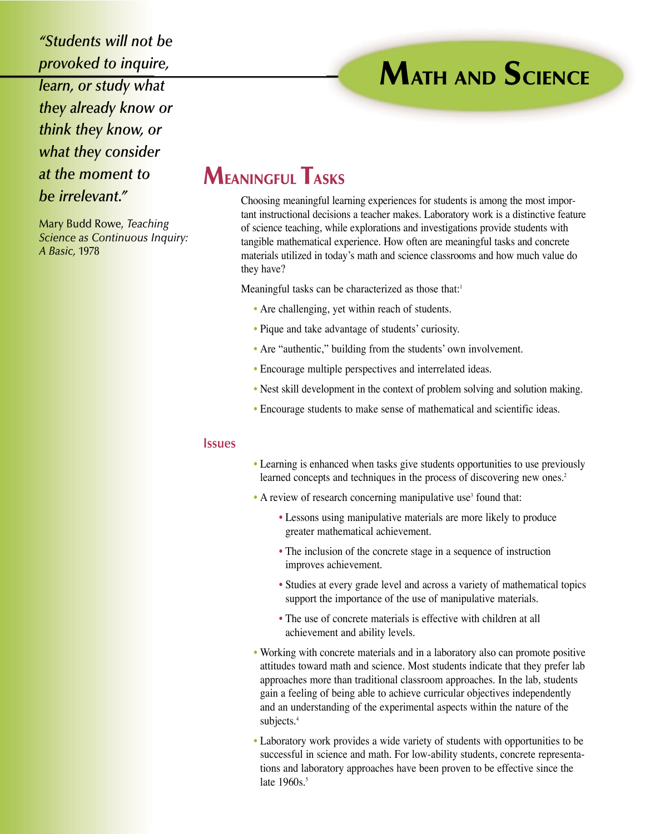*"Students will not be provoked to inquire, learn, or study what they already know or think they know, or what they consider at the moment to be irrelevant."*

Mary Budd Rowe, *Teaching Science as Continuous Inquiry: A Basic,* 1978

## **MEANINGFUL TASKS**

Choosing meaningful learning experiences for students is among the most important instructional decisions a teacher makes. Laboratory work is a distinctive feature of science teaching, while explorations and investigations provide students with tangible mathematical experience. How often are meaningful tasks and concrete materials utilized in today's math and science classrooms and how much value do they have?

**MATH AND SCIENCE**

Meaningful tasks can be characterized as those that:<sup>1</sup>

- Are challenging, yet within reach of students.
- Pique and take advantage of students' curiosity.
- Are "authentic," building from the students' own involvement.
- Encourage multiple perspectives and interrelated ideas.
- Nest skill development in the context of problem solving and solution making.
- Encourage students to make sense of mathematical and scientific ideas.

## **Issues**

- Learning is enhanced when tasks give students opportunities to use previously learned concepts and techniques in the process of discovering new ones.<sup>2</sup>
- $\bullet$  A review of research concerning manipulative use<sup>3</sup> found that:
	- Lessons using manipulative materials are more likely to produce greater mathematical achievement.
	- The inclusion of the concrete stage in a sequence of instruction improves achievement.
	- Studies at every grade level and across a variety of mathematical topics support the importance of the use of manipulative materials.
	- The use of concrete materials is effective with children at all achievement and ability levels.
- Working with concrete materials and in a laboratory also can promote positive attitudes toward math and science. Most students indicate that they prefer lab approaches more than traditional classroom approaches. In the lab, students gain a feeling of being able to achieve curricular objectives independently and an understanding of the experimental aspects within the nature of the subjects.<sup>4</sup>
- Laboratory work provides a wide variety of students with opportunities to be successful in science and math. For low-ability students, concrete representations and laboratory approaches have been proven to be effective since the late  $1960s$ .<sup>5</sup>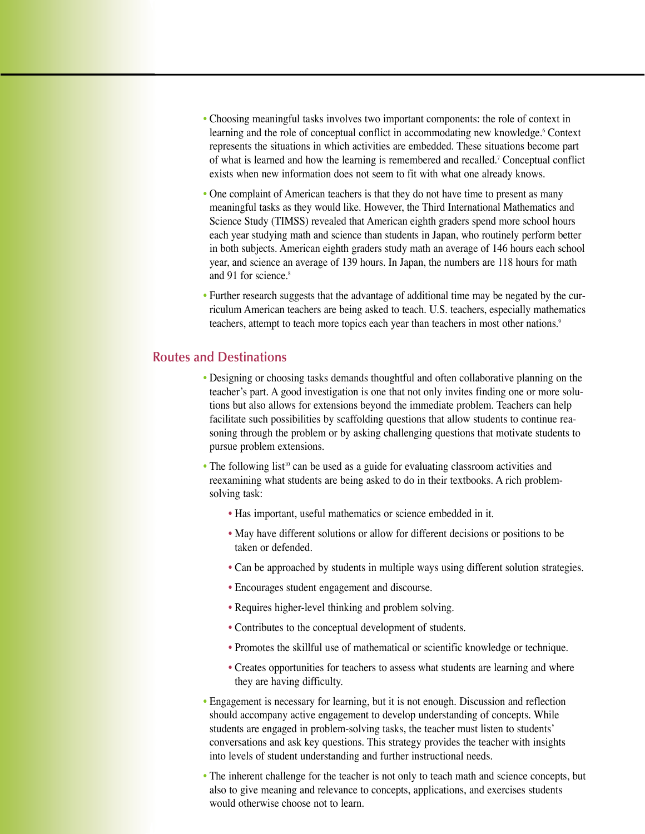- Choosing meaningful tasks involves two important components: the role of context in learning and the role of conceptual conflict in accommodating new knowledge.<sup>6</sup> Context represents the situations in which activities are embedded. These situations become part of what is learned and how the learning is remembered and recalled.7 Conceptual conflict exists when new information does not seem to fit with what one already knows.
- One complaint of American teachers is that they do not have time to present as many meaningful tasks as they would like. However, the Third International Mathematics and Science Study (TIMSS) revealed that American eighth graders spend more school hours each year studying math and science than students in Japan, who routinely perform better in both subjects. American eighth graders study math an average of 146 hours each school year, and science an average of 139 hours. In Japan, the numbers are 118 hours for math and 91 for science.<sup>8</sup>
- Further research suggests that the advantage of additional time may be negated by the curriculum American teachers are being asked to teach. U.S. teachers, especially mathematics teachers, attempt to teach more topics each year than teachers in most other nations.<sup>9</sup>

## **Routes and Destinations**

- Designing or choosing tasks demands thoughtful and often collaborative planning on the teacher's part. A good investigation is one that not only invites finding one or more solutions but also allows for extensions beyond the immediate problem. Teachers can help facilitate such possibilities by scaffolding questions that allow students to continue reasoning through the problem or by asking challenging questions that motivate students to pursue problem extensions.
- The following list<sup>10</sup> can be used as a guide for evaluating classroom activities and reexamining what students are being asked to do in their textbooks. A rich problemsolving task:
	- Has important, useful mathematics or science embedded in it.
	- May have different solutions or allow for different decisions or positions to be taken or defended.
	- Can be approached by students in multiple ways using different solution strategies.
	- Encourages student engagement and discourse.
	- Requires higher-level thinking and problem solving.
	- Contributes to the conceptual development of students.
	- Promotes the skillful use of mathematical or scientific knowledge or technique.
	- Creates opportunities for teachers to assess what students are learning and where they are having difficulty.
- Engagement is necessary for learning, but it is not enough. Discussion and reflection should accompany active engagement to develop understanding of concepts. While students are engaged in problem-solving tasks, the teacher must listen to students' conversations and ask key questions. This strategy provides the teacher with insights into levels of student understanding and further instructional needs.
- The inherent challenge for the teacher is not only to teach math and science concepts, but also to give meaning and relevance to concepts, applications, and exercises students would otherwise choose not to learn.